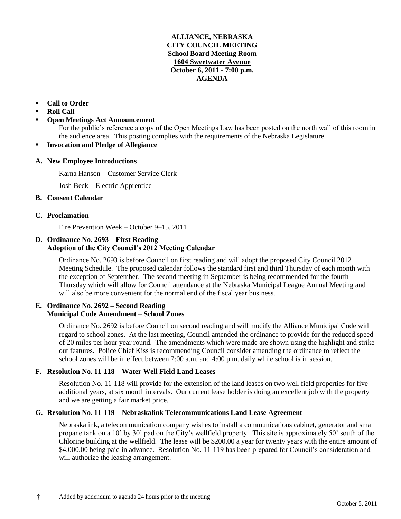# **ALLIANCE, NEBRASKA CITY COUNCIL MEETING School Board Meeting Room 1604 Sweetwater Avenue October 6, 2011 - 7:00 p.m. AGENDA**

# **Call to Order**

- **Roll Call**
- **Open Meetings Act Announcement**

For the public's reference a copy of the Open Meetings Law has been posted on the north wall of this room in the audience area. This posting complies with the requirements of the Nebraska Legislature.

**Invocation and Pledge of Allegiance**

# **A. New Employee Introductions**

Karna Hanson – Customer Service Clerk

Josh Beck – Electric Apprentice

# **B. Consent Calendar**

### **C. Proclamation**

Fire Prevention Week – October 9–15, 2011

# **D. Ordinance No. 2693 – First Reading Adoption of the City Council's 2012 Meeting Calendar**

Ordinance No. 2693 is before Council on first reading and will adopt the proposed City Council 2012 Meeting Schedule. The proposed calendar follows the standard first and third Thursday of each month with the exception of September. The second meeting in September is being recommended for the fourth Thursday which will allow for Council attendance at the Nebraska Municipal League Annual Meeting and will also be more convenient for the normal end of the fiscal year business.

# **E. Ordinance No. 2692 – Second Reading Municipal Code Amendment – School Zones**

Ordinance No. 2692 is before Council on second reading and will modify the Alliance Municipal Code with regard to school zones. At the last meeting, Council amended the ordinance to provide for the reduced speed of 20 miles per hour year round. The amendments which were made are shown using the highlight and strikeout features. Police Chief Kiss is recommending Council consider amending the ordinance to reflect the school zones will be in effect between 7:00 a.m. and 4:00 p.m. daily while school is in session.

# **F. Resolution No. 11-118 – Water Well Field Land Leases**

Resolution No. 11-118 will provide for the extension of the land leases on two well field properties for five additional years, at six month intervals. Our current lease holder is doing an excellent job with the property and we are getting a fair market price.

# **G. Resolution No. 11-119 – Nebraskalink Telecommunications Land Lease Agreement**

Nebraskalink, a telecommunication company wishes to install a communications cabinet, generator and small propane tank on a 10' by 30' pad on the City's wellfield property. This site is approximately 50' south of the Chlorine building at the wellfield. The lease will be \$200.00 a year for twenty years with the entire amount of \$4,000.00 being paid in advance. Resolution No. 11-119 has been prepared for Council's consideration and will authorize the leasing arrangement.